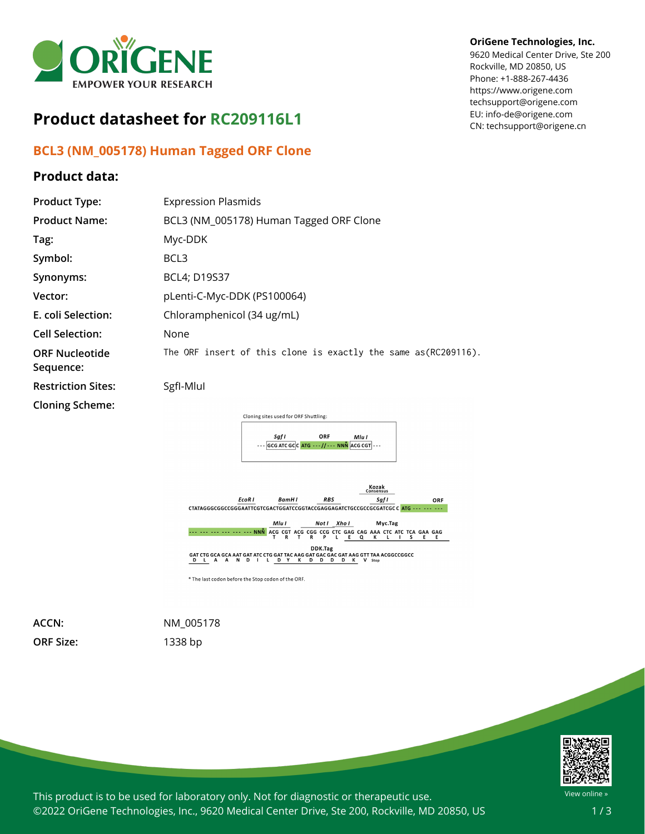

# **Product datasheet for RC209116L1**

## **BCL3 (NM\_005178) Human Tagged ORF Clone**

### **Product data:**

#### **OriGene Technologies, Inc.**

9620 Medical Center Drive, Ste 200 Rockville, MD 20850, US Phone: +1-888-267-4436 https://www.origene.com techsupport@origene.com EU: info-de@origene.com CN: techsupport@origene.cn

| <b>Product Type:</b>               | <b>Expression Plasmids</b>                                           |
|------------------------------------|----------------------------------------------------------------------|
| <b>Product Name:</b>               | BCL3 (NM_005178) Human Tagged ORF Clone                              |
| Tag:                               | Myc-DDK                                                              |
| Symbol:                            | BCL3                                                                 |
| Synonyms:                          | <b>BCL4; D19S37</b>                                                  |
| Vector:                            | pLenti-C-Myc-DDK (PS100064)                                          |
| E. coli Selection:                 | Chloramphenicol (34 ug/mL)                                           |
| <b>Cell Selection:</b>             | None                                                                 |
| <b>ORF Nucleotide</b><br>Sequence: | The ORF insert of this clone is exactly the same as(RC209116).       |
| <b>Restriction Sites:</b>          | Sgfl-Mlul                                                            |
| <b>Cloning Scheme:</b>             |                                                                      |
|                                    | Cloning sites used for ORF Shuttling:                                |
|                                    | Sgf I<br>ORF<br>Mlu I<br>$ GCG ATCGC CATG---//---NNN$ ACG CGT $ ---$ |
|                                    |                                                                      |



**ORF Size:** 1338 bp

**ACCN:** NM\_005178



This product is to be used for laboratory only. Not for diagnostic or therapeutic use. ©2022 OriGene Technologies, Inc., 9620 Medical Center Drive, Ste 200, Rockville, MD 20850, US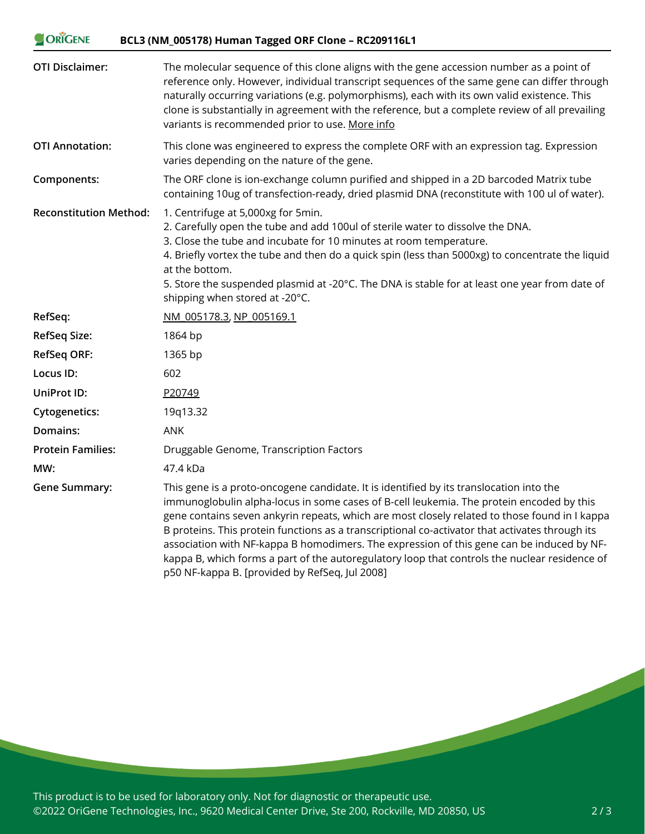| ORIGENE<br>BCL3 (NM_005178) Human Tagged ORF Clone - RC209116L1 |                                                                                                                                                                                                                                                                                                                                                                                                                                                                                                                                                                                                                                         |
|-----------------------------------------------------------------|-----------------------------------------------------------------------------------------------------------------------------------------------------------------------------------------------------------------------------------------------------------------------------------------------------------------------------------------------------------------------------------------------------------------------------------------------------------------------------------------------------------------------------------------------------------------------------------------------------------------------------------------|
| <b>OTI Disclaimer:</b>                                          | The molecular sequence of this clone aligns with the gene accession number as a point of<br>reference only. However, individual transcript sequences of the same gene can differ through<br>naturally occurring variations (e.g. polymorphisms), each with its own valid existence. This<br>clone is substantially in agreement with the reference, but a complete review of all prevailing<br>variants is recommended prior to use. More info                                                                                                                                                                                          |
| <b>OTI Annotation:</b>                                          | This clone was engineered to express the complete ORF with an expression tag. Expression<br>varies depending on the nature of the gene.                                                                                                                                                                                                                                                                                                                                                                                                                                                                                                 |
| Components:                                                     | The ORF clone is ion-exchange column purified and shipped in a 2D barcoded Matrix tube<br>containing 10ug of transfection-ready, dried plasmid DNA (reconstitute with 100 ul of water).                                                                                                                                                                                                                                                                                                                                                                                                                                                 |
| <b>Reconstitution Method:</b>                                   | 1. Centrifuge at 5,000xg for 5min.<br>2. Carefully open the tube and add 100ul of sterile water to dissolve the DNA.<br>3. Close the tube and incubate for 10 minutes at room temperature.<br>4. Briefly vortex the tube and then do a quick spin (less than 5000xg) to concentrate the liquid<br>at the bottom.<br>5. Store the suspended plasmid at -20°C. The DNA is stable for at least one year from date of<br>shipping when stored at -20°C.                                                                                                                                                                                     |
| RefSeq:                                                         | NM 005178.3, NP 005169.1                                                                                                                                                                                                                                                                                                                                                                                                                                                                                                                                                                                                                |
| <b>RefSeq Size:</b>                                             | 1864 bp                                                                                                                                                                                                                                                                                                                                                                                                                                                                                                                                                                                                                                 |
| <b>RefSeq ORF:</b>                                              | 1365 bp                                                                                                                                                                                                                                                                                                                                                                                                                                                                                                                                                                                                                                 |
| Locus ID:                                                       | 602                                                                                                                                                                                                                                                                                                                                                                                                                                                                                                                                                                                                                                     |
| UniProt ID:                                                     | P20749                                                                                                                                                                                                                                                                                                                                                                                                                                                                                                                                                                                                                                  |
| <b>Cytogenetics:</b>                                            | 19q13.32                                                                                                                                                                                                                                                                                                                                                                                                                                                                                                                                                                                                                                |
| Domains:                                                        | <b>ANK</b>                                                                                                                                                                                                                                                                                                                                                                                                                                                                                                                                                                                                                              |
| <b>Protein Families:</b>                                        | Druggable Genome, Transcription Factors                                                                                                                                                                                                                                                                                                                                                                                                                                                                                                                                                                                                 |
| MW:                                                             | 47.4 kDa                                                                                                                                                                                                                                                                                                                                                                                                                                                                                                                                                                                                                                |
| <b>Gene Summary:</b>                                            | This gene is a proto-oncogene candidate. It is identified by its translocation into the<br>immunoglobulin alpha-locus in some cases of B-cell leukemia. The protein encoded by this<br>gene contains seven ankyrin repeats, which are most closely related to those found in I kappa<br>B proteins. This protein functions as a transcriptional co-activator that activates through its<br>association with NF-kappa B homodimers. The expression of this gene can be induced by NF-<br>kappa B, which forms a part of the autoregulatory loop that controls the nuclear residence of<br>p50 NF-kappa B. [provided by RefSeq, Jul 2008] |

This product is to be used for laboratory only. Not for diagnostic or therapeutic use. ©2022 OriGene Technologies, Inc., 9620 Medical Center Drive, Ste 200, Rockville, MD 20850, US